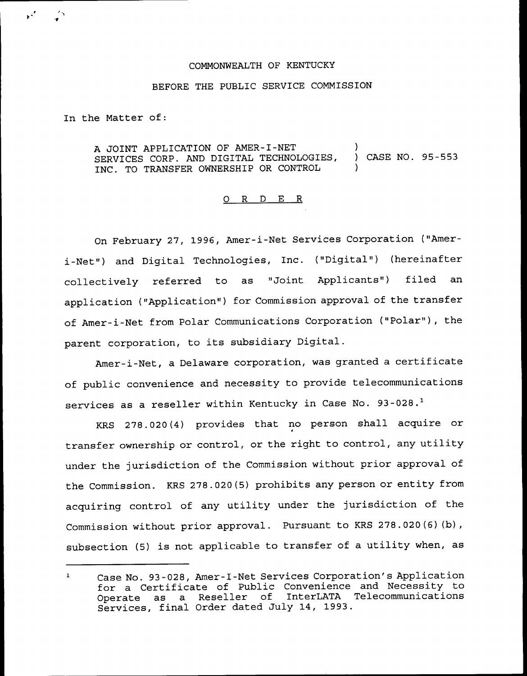## COMMONWEALTH QF KENTUCKY

## BEFORE THE PUBLIC SERVICE COMMISSION

In the Matter of:

A JOINT APPLICATION OF AMER-I-NET SERVICES CORP. AND DIGITAL TECHNOLOGIES, INC. TO TRANSFER OWNERSHIP OR CONTROL ) ) CASE NO. 95-553 )

## 0 R <sup>D</sup> E R

On February 27, 1996, Amer-i-Net Services Corporation ("Ameri-Net") and Digital Technologies, Inc. ("Digital") (hereinafter collectively referred to as "Joint Applicants") filed an application ("Application") for Commission approval of the transfer of Amer-i-Net from Polar Communications Corporation ("Polar" ), the parent corporation, to its subsidiary Digital.

Amer-i-Net, a Delaware corporation, was granted a certificate of public convenience and necessity to provide telecommunications services as a reseller within Kentucky in Case No. 93-028.<sup>1</sup>

278.020(4) provides that no person shall acquire or transfer ownership or control, or the right to control, any utility under the jurisdiction of the Commission without prior approval of the Commission. KRS 278.020(5) prohibits any person or entity from acquiring control of any utility under the jurisdiction of the Commission without prior approval. Pursuant to KRS 278.020(6)(b), subsection (5) is not applicable to transfer of <sup>a</sup> utility when, as

Case No. 93-028, Amer-I-Net Services Corporation's Application  $\mathbf{1}$ for a Certificate of Public Convenience and Necessity to<br>Operate as a Reseller of InterLATA Telecommunications InterLATA Telecommunications Services, final Order dated July 14, 1993.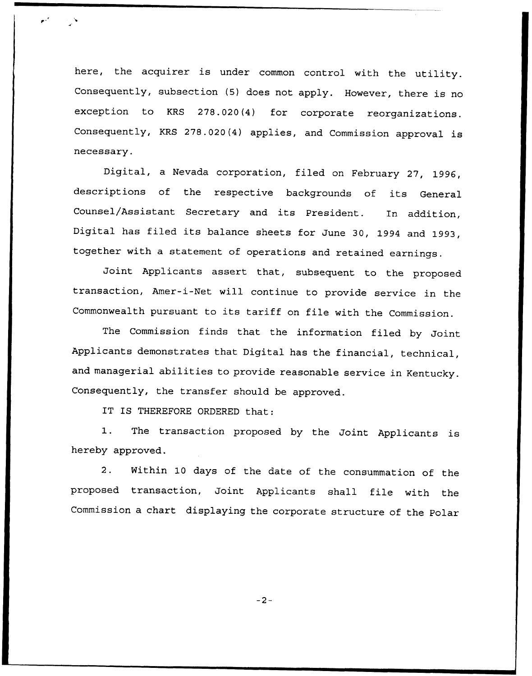here, the acquirer is under common control with the utility. Consequently, subsection (5) does not apply. However, there is no exception to KRS 27S.020(4) for corporate reorganizations. Consequently, KRS 278.020(4) applies, and Commission approval is necessary.

Digital, <sup>a</sup> Nevada corporation, filed on February 27, 1996, descriptions of the respective backgrounds of its General Counsel/Assistant Secretary and its President. In addition, Digital has filed its balance sheets for June 30, <sup>1994</sup> and 1993, together with a statement of operations and retained earnings.

Joint Applicants assert that, subsequent to the proposed transaction, Amer-i-Net will continue to provide service in the Commonwealth pursuant to its tariff on file with the Commission.

The Commission finds that the information filed by Joint Applicants demonstrates that Digital has the financial, technical, and managerial abilities to provide reasonable service in Kentucky. Consequently, the transfer should be approved.

IT IS THEREFORE ORDERED that:

1. The transaction proposed by the Joint Applicants is hereby approved.

2. Within <sup>10</sup> days of the date of the consummation of the proposed transaction, Joint Applicants shall file with the Commission <sup>a</sup> chart displaying the corporate structure of the Polar

 $-2-$